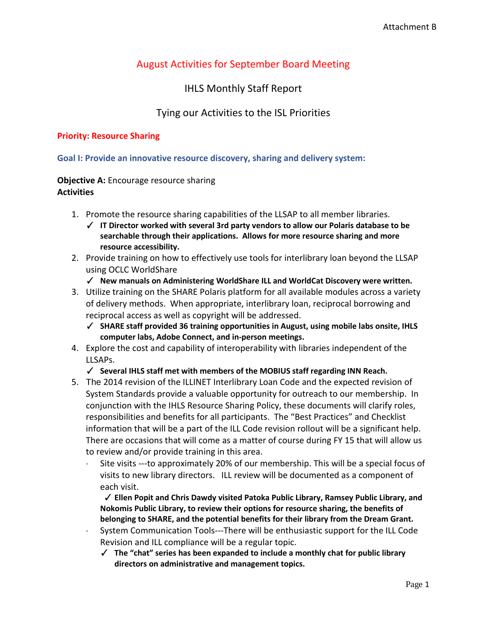# August Activities for September Board Meeting

## IHLS Monthly Staff Report

## Tying our Activities to the ISL Priorities

#### **Priority: Resource Sharing**

**Goal I: Provide an innovative resource discovery, sharing and delivery system:** 

### **Objective A:** Encourage resource sharing **Activities**

- 1. Promote the resource sharing capabilities of the LLSAP to all member libraries.
	- ✓ **IT Director worked with several 3rd party vendors to allow our Polaris database to be searchable through their applications. Allows for more resource sharing and more resource accessibility.**
- 2. Provide training on how to effectively use tools for interlibrary loan beyond the LLSAP using OCLC WorldShare
	- ✓ **New manuals on Administering WorldShare ILL and WorldCat Discovery were written.**
- 3. Utilize training on the SHARE Polaris platform for all available modules across a variety of delivery methods. When appropriate, interlibrary loan, reciprocal borrowing and reciprocal access as well as copyright will be addressed.
	- ✓ **SHARE staff provided 36 training opportunities in August, using mobile labs onsite, IHLS computer labs, Adobe Connect, and in-person meetings.**
- 4. Explore the cost and capability of interoperability with libraries independent of the LLSAPs.

#### ✓ **Several IHLS staff met with members of the MOBIUS staff regarding INN Reach.**

- 5. The 2014 revision of the ILLINET Interlibrary Loan Code and the expected revision of System Standards provide a valuable opportunity for outreach to our membership. In conjunction with the IHLS Resource Sharing Policy, these documents will clarify roles, responsibilities and benefits for all participants. The "Best Practices" and Checklist information that will be a part of the ILL Code revision rollout will be a significant help. There are occasions that will come as a matter of course during FY 15 that will allow us to review and/or provide training in this area.
	- · Site visits ---to approximately 20% of our membership. This will be a special focus of visits to new library directors. ILL review will be documented as a component of each visit.
		- ✓ **Ellen Popit and Chris Dawdy visited Patoka Public Library, Ramsey Public Library, and Nokomis Public Library, to review their options for resource sharing, the benefits of belonging to SHARE, and the potential benefits for their library from the Dream Grant.**
	- · System Communication Tools---There will be enthusiastic support for the ILL Code Revision and ILL compliance will be a regular topic.
		- ✓ **The "chat" series has been expanded to include a monthly chat for public library directors on administrative and management topics.**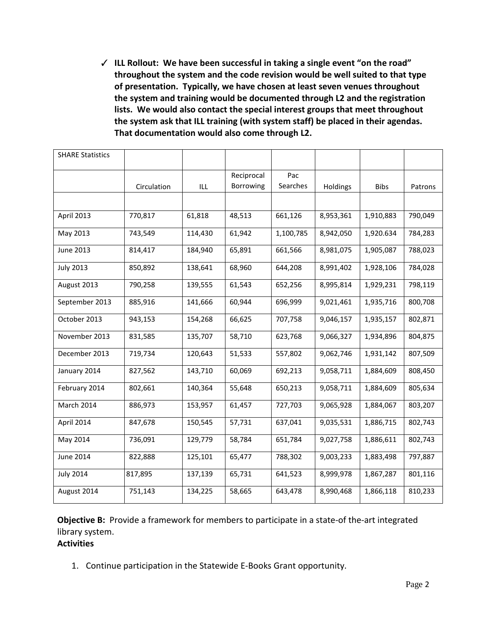✓ **ILL Rollout: We have been successful in taking a single event "on the road" throughout the system and the code revision would be well suited to that type of presentation. Typically, we have chosen at least seven venues throughout the system and training would be documented through L2 and the registration lists. We would also contact the special interest groups that meet throughout the system ask that ILL training (with system staff) be placed in their agendas. That documentation would also come through L2.**

| <b>SHARE Statistics</b> |             |         |            |           |           |             |         |
|-------------------------|-------------|---------|------------|-----------|-----------|-------------|---------|
|                         |             |         | Reciprocal | Pac       |           |             |         |
|                         | Circulation | ILL     | Borrowing  | Searches  | Holdings  | <b>Bibs</b> | Patrons |
|                         |             |         |            |           |           |             |         |
| April 2013              | 770,817     | 61,818  | 48,513     | 661,126   | 8,953,361 | 1,910,883   | 790,049 |
| May 2013                | 743,549     | 114,430 | 61,942     | 1,100,785 | 8,942,050 | 1,920.634   | 784,283 |
| <b>June 2013</b>        | 814,417     | 184,940 | 65,891     | 661,566   | 8,981,075 | 1,905,087   | 788,023 |
| <b>July 2013</b>        | 850,892     | 138,641 | 68,960     | 644,208   | 8,991,402 | 1,928,106   | 784,028 |
| August 2013             | 790,258     | 139,555 | 61,543     | 652,256   | 8,995,814 | 1,929,231   | 798,119 |
| September 2013          | 885,916     | 141,666 | 60,944     | 696,999   | 9,021,461 | 1,935,716   | 800,708 |
| October 2013            | 943,153     | 154,268 | 66,625     | 707,758   | 9,046,157 | 1,935,157   | 802,871 |
| November 2013           | 831,585     | 135,707 | 58,710     | 623,768   | 9,066,327 | 1,934,896   | 804,875 |
| December 2013           | 719,734     | 120,643 | 51,533     | 557,802   | 9,062,746 | 1,931,142   | 807,509 |
| January 2014            | 827,562     | 143,710 | 60,069     | 692,213   | 9,058,711 | 1,884,609   | 808,450 |
| February 2014           | 802,661     | 140,364 | 55,648     | 650,213   | 9,058,711 | 1,884,609   | 805,634 |
| March 2014              | 886,973     | 153,957 | 61,457     | 727,703   | 9,065,928 | 1,884,067   | 803,207 |
| April 2014              | 847,678     | 150,545 | 57,731     | 637,041   | 9,035,531 | 1,886,715   | 802,743 |
| May 2014                | 736,091     | 129,779 | 58,784     | 651,784   | 9,027,758 | 1,886,611   | 802,743 |
| <b>June 2014</b>        | 822,888     | 125,101 | 65,477     | 788,302   | 9,003,233 | 1,883,498   | 797,887 |
| <b>July 2014</b>        | 817,895     | 137,139 | 65,731     | 641,523   | 8,999,978 | 1,867,287   | 801,116 |
| August 2014             | 751,143     | 134,225 | 58,665     | 643,478   | 8,990,468 | 1,866,118   | 810,233 |

**Objective B:** Provide a framework for members to participate in a state-of the-art integrated library system.

## **Activities**

1. Continue participation in the Statewide E-Books Grant opportunity.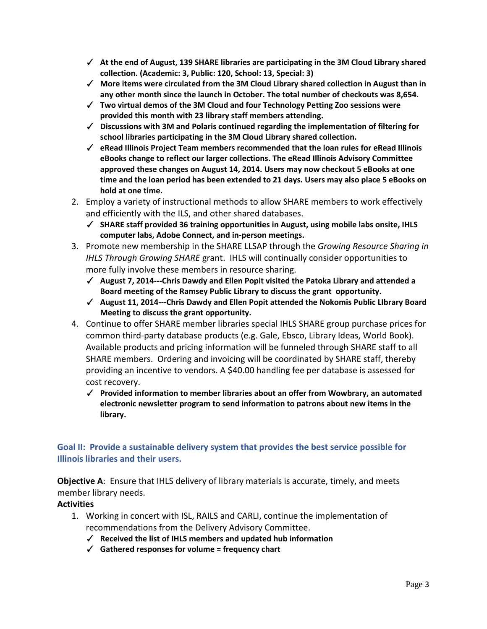- ✓ **At the end of August, 139 SHARE libraries are participating in the 3M Cloud Library shared collection. (Academic: 3, Public: 120, School: 13, Special: 3)**
- ✓ **More items were circulated from the 3M Cloud Library shared collection in August than in any other month since the launch in October. The total number of checkouts was 8,654.**
- ✓ **Two virtual demos of the 3M Cloud and four Technology Petting Zoo sessions were provided this month with 23 library staff members attending.**
- ✓ **Discussions with 3M and Polaris continued regarding the implementation of filtering for school libraries participating in the 3M Cloud Library shared collection.**
- ✓ **eRead Illinois Project Team members recommended that the loan rules for eRead Illinois eBooks change to reflect our larger collections. The eRead Illinois Advisory Committee approved these changes on August 14, 2014. Users may now checkout 5 eBooks at one time and the loan period has been extended to 21 days. Users may also place 5 eBooks on hold at one time.**
- 2. Employ a variety of instructional methods to allow SHARE members to work effectively and efficiently with the ILS, and other shared databases.
	- ✓ **SHARE staff provided 36 training opportunities in August, using mobile labs onsite, IHLS computer labs, Adobe Connect, and in-person meetings.**
- 3. Promote new membership in the SHARE LLSAP through the *Growing Resource Sharing in IHLS Through Growing SHARE* grant. IHLS will continually consider opportunities to more fully involve these members in resource sharing.
	- ✓ **August 7, 2014---Chris Dawdy and Ellen Popit visited the Patoka Library and attended a Board meeting of the Ramsey Public Library to discuss the grant opportunity.**
	- ✓ **August 11, 2014---Chris Dawdy and Ellen Popit attended the Nokomis Public LIbrary Board Meeting to discuss the grant opportunity.**
- 4. Continue to offer SHARE member libraries special IHLS SHARE group purchase prices for common third-party database products (e.g. Gale, Ebsco, Library Ideas, World Book). Available products and pricing information will be funneled through SHARE staff to all SHARE members. Ordering and invoicing will be coordinated by SHARE staff, thereby providing an incentive to vendors. A \$40.00 handling fee per database is assessed for cost recovery.
	- ✓ **Provided information to member libraries about an offer from Wowbrary, an automated electronic newsletter program to send information to patrons about new items in the library.**

### **Goal II: Provide a sustainable delivery system that provides the best service possible for Illinois libraries and their users.**

**Objective A**: Ensure that IHLS delivery of library materials is accurate, timely, and meets member library needs.

### **Activities**

- 1. Working in concert with ISL, RAILS and CARLI, continue the implementation of recommendations from the Delivery Advisory Committee.
	- ✓ **Received the list of IHLS members and updated hub information**
	- ✓ **Gathered responses for volume = frequency chart**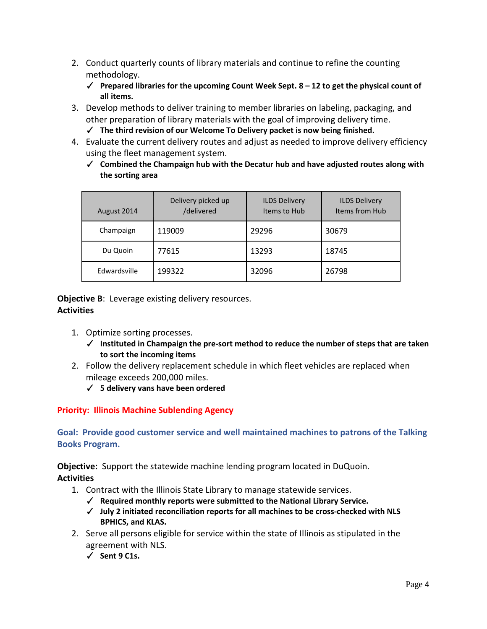- 2. Conduct quarterly counts of library materials and continue to refine the counting methodology.
	- ✓ **Prepared libraries for the upcoming Count Week Sept. 8 – 12 to get the physical count of all items.**
- 3. Develop methods to deliver training to member libraries on labeling, packaging, and other preparation of library materials with the goal of improving delivery time. ✓ **The third revision of our Welcome To Delivery packet is now being finished.**
- 4. Evaluate the current delivery routes and adjust as needed to improve delivery efficiency using the fleet management system.
	- ✓ **Combined the Champaign hub with the Decatur hub and have adjusted routes along with the sorting area**

| August 2014  | Delivery picked up<br>/delivered | <b>ILDS Delivery</b><br>Items to Hub | <b>ILDS Delivery</b><br>Items from Hub |
|--------------|----------------------------------|--------------------------------------|----------------------------------------|
| Champaign    | 119009                           | 29296                                | 30679                                  |
| Du Quoin     | 77615                            | 13293                                | 18745                                  |
| Edwardsville | 199322                           | 32096                                | 26798                                  |

**Objective B:** Leverage existing delivery resources. **Activities**

- 1. Optimize sorting processes.
	- ✓ **Instituted in Champaign the pre-sort method to reduce the number of steps that are taken to sort the incoming items**
- 2. Follow the delivery replacement schedule in which fleet vehicles are replaced when mileage exceeds 200,000 miles.
	- ✓ **5 delivery vans have been ordered**

**Priority: Illinois Machine Sublending Agency**

**Goal: Provide good customer service and well maintained machines to patrons of the Talking Books Program.**

**Objective:** Support the statewide machine lending program located in DuQuoin. **Activities**

- - 1. Contract with the Illinois State Library to manage statewide services.
		- ✓ **Required monthly reports were submitted to the National Library Service.**
		- ✓ **July 2 initiated reconciliation reports for all machines to be cross-checked with NLS BPHICS, and KLAS.**
	- 2. Serve all persons eligible for service within the state of Illinois as stipulated in the agreement with NLS.
		- ✓ **Sent 9 C1s.**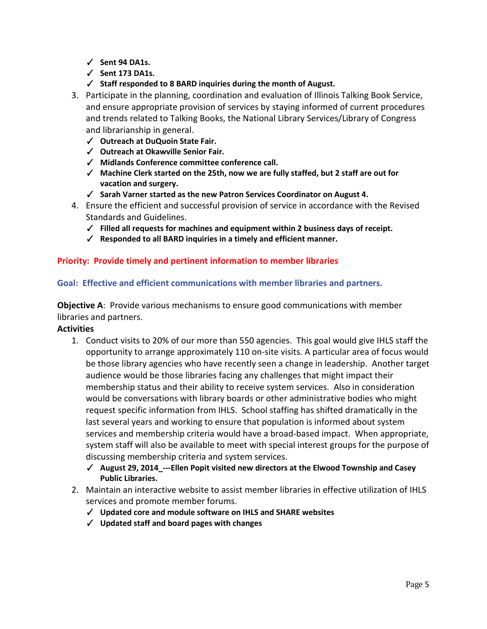- ✓ **Sent 94 DA1s.**
- ✓ **Sent 173 DA1s.**
- ✓ **Staff responded to 8 BARD inquiries during the month of August.**
- 3. Participate in the planning, coordination and evaluation of Illinois Talking Book Service, and ensure appropriate provision of services by staying informed of current procedures and trends related to Talking Books, the National Library Services/Library of Congress and librarianship in general.
	- ✓ **Outreach at DuQuoin State Fair.**
	- ✓ **Outreach at Okawville Senior Fair.**
	- ✓ **Midlands Conference committee conference call.**
	- ✓ **Machine Clerk started on the 25th, now we are fully staffed, but 2 staff are out for vacation and surgery.**
	- ✓ **Sarah Varner started as the new Patron Services Coordinator on August 4.**
- 4. Ensure the efficient and successful provision of service in accordance with the Revised Standards and Guidelines.
	- ✓ **Filled all requests for machines and equipment within 2 business days of receipt.**
	- ✓ **Responded to all BARD inquiries in a timely and efficient manner.**

### **Priority: Provide timely and pertinent information to member libraries**

#### **Goal: Effective and efficient communications with member libraries and partners.**

**Objective A**: Provide various mechanisms to ensure good communications with member libraries and partners.

#### **Activities**

- 1. Conduct visits to 20% of our more than 550 agencies. This goal would give IHLS staff the opportunity to arrange approximately 110 on-site visits. A particular area of focus would be those library agencies who have recently seen a change in leadership. Another target audience would be those libraries facing any challenges that might impact their membership status and their ability to receive system services. Also in consideration would be conversations with library boards or other administrative bodies who might request specific information from IHLS. School staffing has shifted dramatically in the last several years and working to ensure that population is informed about system services and membership criteria would have a broad-based impact. When appropriate, system staff will also be available to meet with special interest groups for the purpose of discussing membership criteria and system services.
	- ✓ **August 29, 2014\_---Ellen Popit visited new directors at the Elwood Township and Casey Public Libraries.**
- 2. Maintain an interactive website to assist member libraries in effective utilization of IHLS services and promote member forums.
	- ✓ **Updated core and module software on IHLS and SHARE websites**
	- ✓ **Updated staff and board pages with changes**